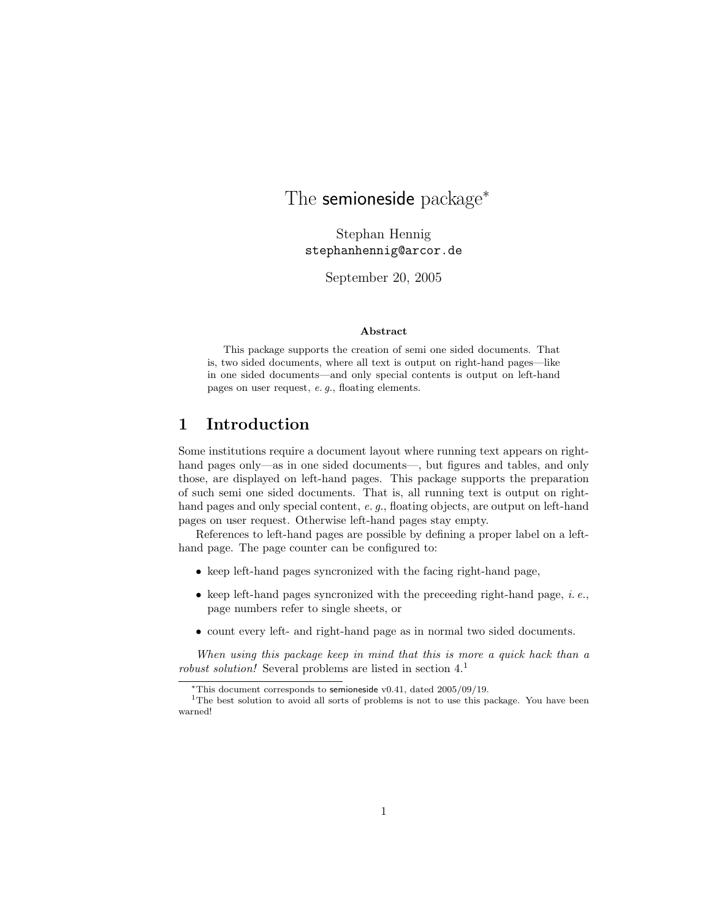## The semioneside package<sup>\*</sup>

Stephan Hennig stephanhennig@arcor.de

September 20, 2005

#### Abstract

This package supports the creation of semi one sided documents. That is, two sided documents, where all text is output on right-hand pages—like in one sided documents—and only special contents is output on left-hand pages on user request, e. g., floating elements.

## 1 Introduction

Some institutions require a document layout where running text appears on righthand pages only—as in one sided documents—, but figures and tables, and only those, are displayed on left-hand pages. This package supports the preparation of such semi one sided documents. That is, all running text is output on righthand pages and only special content, e. g., floating objects, are output on left-hand pages on user request. Otherwise left-hand pages stay empty.

References to left-hand pages are possible by defining a proper label on a lefthand page. The page counter can be configured to:

- keep left-hand pages syncronized with the facing right-hand page,
- keep left-hand pages syncronized with the preceeding right-hand page,  $i.e.,$ page numbers refer to single sheets, or
- count every left- and right-hand page as in normal two sided documents.

When using this package keep in mind that this is more a quick hack than a robust solution! Several problems are listed in section  $4<sup>1</sup>$ 

<sup>∗</sup>This document corresponds to semioneside v0.41, dated 2005/09/19.

<sup>&</sup>lt;sup>1</sup>The best solution to avoid all sorts of problems is not to use this package. You have been warned!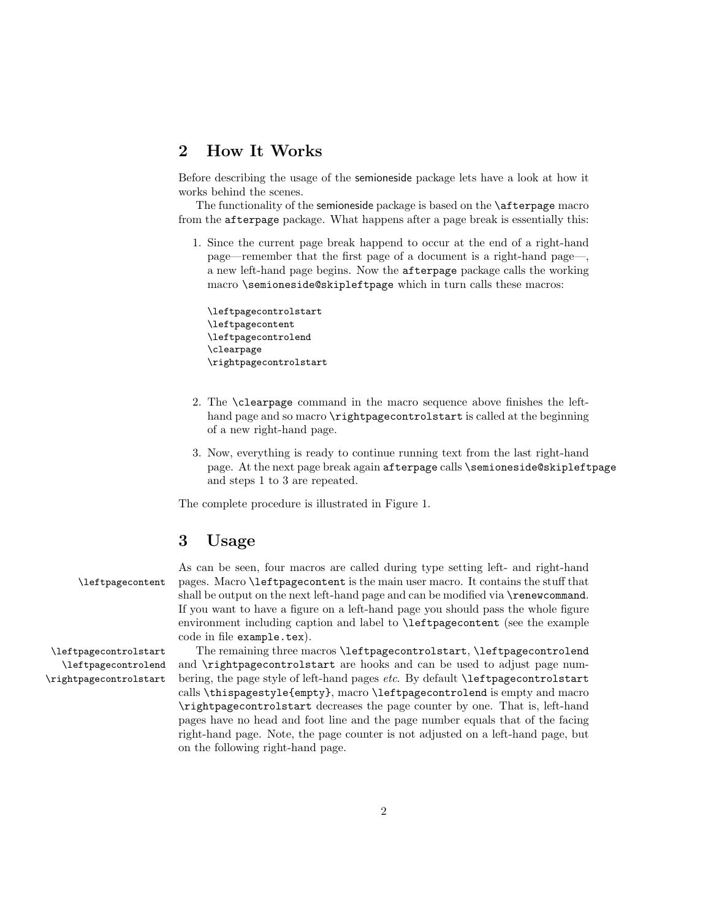#### 2 How It Works

Before describing the usage of the semioneside package lets have a look at how it works behind the scenes.

The functionality of the semioneside package is based on the \afterpage macro from the afterpage package. What happens after a page break is essentially this:

1. Since the current page break happend to occur at the end of a right-hand page—remember that the first page of a document is a right-hand page—, a new left-hand page begins. Now the afterpage package calls the working macro \semioneside@skipleftpage which in turn calls these macros:

\leftpagecontrolstart \leftpagecontent \leftpagecontrolend \clearpage \rightpagecontrolstart

- 2. The \clearpage command in the macro sequence above finishes the lefthand page and so macro \rightpagecontrolstart is called at the beginning of a new right-hand page.
- 3. Now, everything is ready to continue running text from the last right-hand page. At the next page break again afterpage calls \semioneside@skipleftpage and steps 1 to 3 are repeated.

The complete procedure is illustrated in Figure 1.

### 3 Usage

As can be seen, four macros are called during type setting left- and right-hand \leftpagecontent pages. Macro \leftpagecontent is the main user macro. It contains the stuff that shall be output on the next left-hand page and can be modified via \renewcommand. If you want to have a figure on a left-hand page you should pass the whole figure environment including caption and label to \leftpagecontent (see the example code in file example.tex).

\leftpagecontrolstart The remaining three macros \leftpagecontrolstart, \leftpagecontrolend \leftpagecontrolend and \rightpagecontrolstart are hooks and can be used to adjust page num- \rightpagecontrolstart bering, the page style of left-hand pages etc. By default \leftpagecontrolstart calls \thispagestyle{empty}, macro \leftpagecontrolend is empty and macro \rightpagecontrolstart decreases the page counter by one. That is, left-hand pages have no head and foot line and the page number equals that of the facing right-hand page. Note, the page counter is not adjusted on a left-hand page, but on the following right-hand page.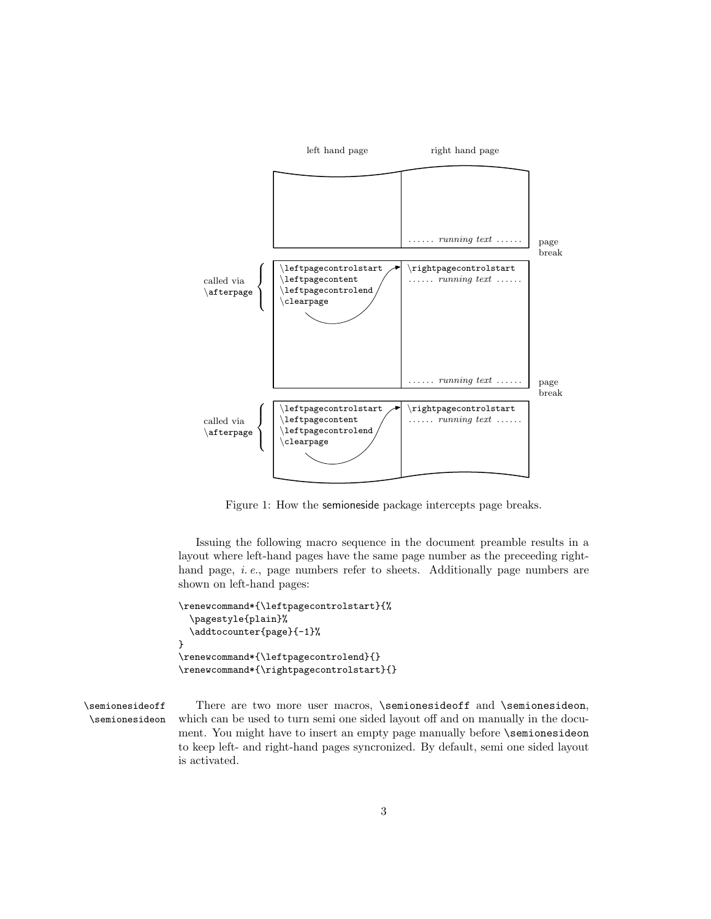

Figure 1: How the semioneside package intercepts page breaks.

Issuing the following macro sequence in the document preamble results in a layout where left-hand pages have the same page number as the preceeding righthand page, *i.e.*, page numbers refer to sheets. Additionally page numbers are shown on left-hand pages:

```
\renewcommand*{\leftpagecontrolstart}{%
  \pagestyle{plain}%
  \addtocounter{page}{-1}%
}
\renewcommand*{\leftpagecontrolend}{}
\renewcommand*{\rightpagecontrolstart}{}
```
\semionesideoff There are two more user macros, \semionesideoff and \semionesideon, \semionesideon which can be used to turn semi one sided layout off and on manually in the document. You might have to insert an empty page manually before \semionesideon to keep left- and right-hand pages syncronized. By default, semi one sided layout is activated.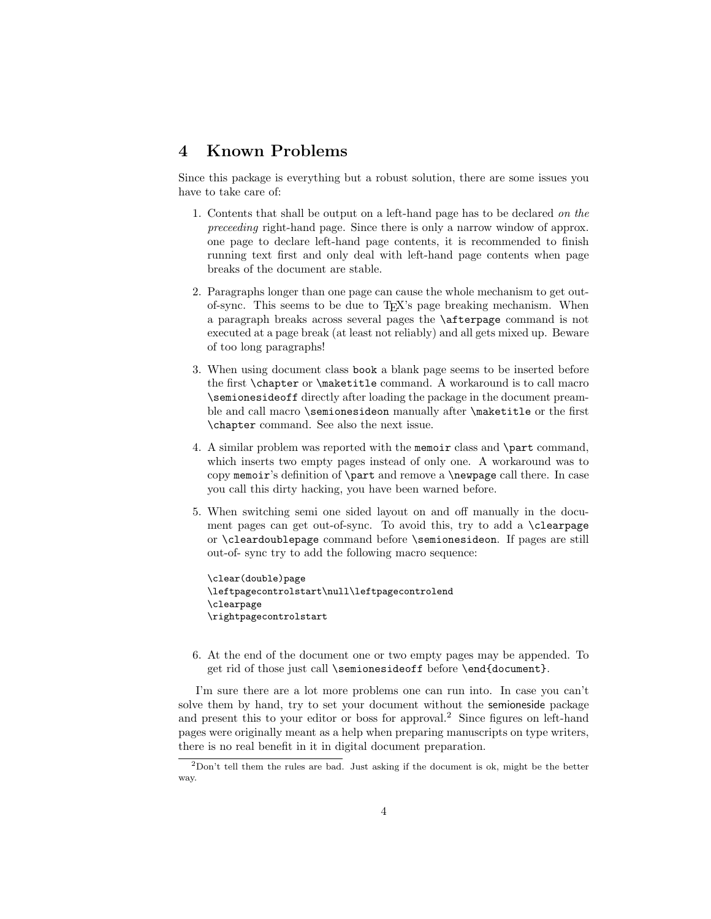### 4 Known Problems

Since this package is everything but a robust solution, there are some issues you have to take care of:

- 1. Contents that shall be output on a left-hand page has to be declared on the preceeding right-hand page. Since there is only a narrow window of approx. one page to declare left-hand page contents, it is recommended to finish running text first and only deal with left-hand page contents when page breaks of the document are stable.
- 2. Paragraphs longer than one page can cause the whole mechanism to get outof-sync. This seems to be due to TEX's page breaking mechanism. When a paragraph breaks across several pages the \afterpage command is not executed at a page break (at least not reliably) and all gets mixed up. Beware of too long paragraphs!
- 3. When using document class book a blank page seems to be inserted before the first \chapter or \maketitle command. A workaround is to call macro \semionesideoff directly after loading the package in the document preamble and call macro \semionesideon manually after \maketitle or the first \chapter command. See also the next issue.
- 4. A similar problem was reported with the memoir class and \part command, which inserts two empty pages instead of only one. A workaround was to copy memoir's definition of \part and remove a \newpage call there. In case you call this dirty hacking, you have been warned before.
- 5. When switching semi one sided layout on and off manually in the document pages can get out-of-sync. To avoid this, try to add a \clearpage or \cleardoublepage command before \semionesideon. If pages are still out-of- sync try to add the following macro sequence:

```
\clear(double)page
\leftpagecontrolstart\null\leftpagecontrolend
\clearpage
\rightpagecontrolstart
```
6. At the end of the document one or two empty pages may be appended. To get rid of those just call \semionesideoff before \end{document}.

I'm sure there are a lot more problems one can run into. In case you can't solve them by hand, try to set your document without the semioneside package and present this to your editor or boss for approval.<sup>2</sup> Since figures on left-hand pages were originally meant as a help when preparing manuscripts on type writers, there is no real benefit in it in digital document preparation.

<sup>2</sup>Don't tell them the rules are bad. Just asking if the document is ok, might be the better way.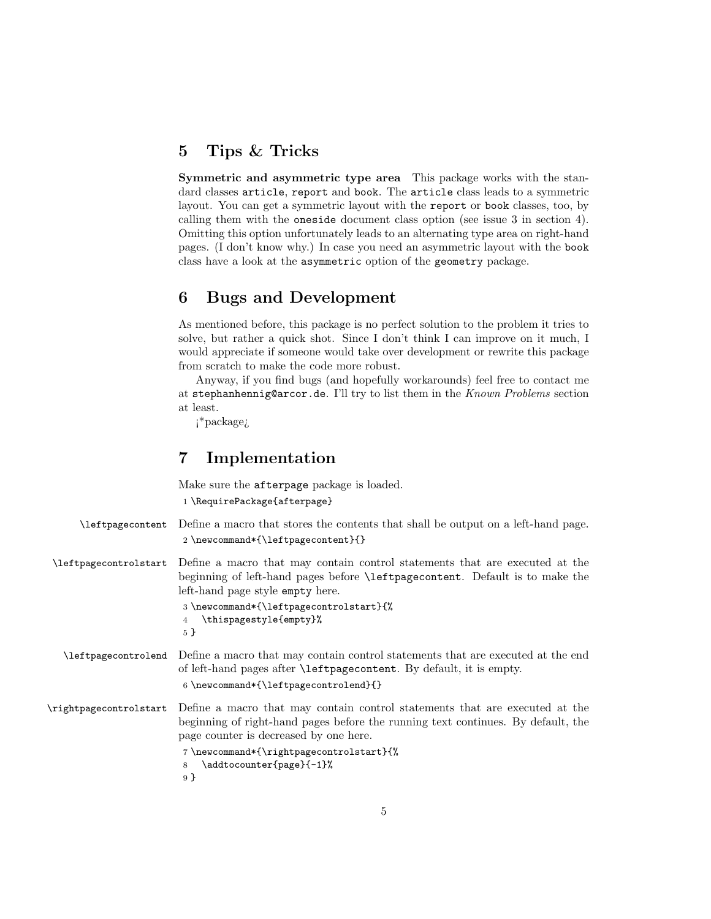#### 5 Tips & Tricks

Symmetric and asymmetric type area This package works with the standard classes article, report and book. The article class leads to a symmetric layout. You can get a symmetric layout with the report or book classes, too, by calling them with the oneside document class option (see issue 3 in section 4). Omitting this option unfortunately leads to an alternating type area on right-hand pages. (I don't know why.) In case you need an asymmetric layout with the book class have a look at the asymmetric option of the geometry package.

#### 6 Bugs and Development

As mentioned before, this package is no perfect solution to the problem it tries to solve, but rather a quick shot. Since I don't think I can improve on it much, I would appreciate if someone would take over development or rewrite this package from scratch to make the code more robust.

Anyway, if you find bugs (and hopefully workarounds) feel free to contact me at stephanhennig@arcor.de. I'll try to list them in the Known Problems section at least.

¡\*package¿

#### 7 Implementation

Make sure the afterpage package is loaded.

```
1 \RequirePackage{afterpage}
```

```
\leftpagecontent Define a macro that stores the contents that shall be output on a left-hand page.
                        2 \newcommand*{\leftpagecontent}{}
\leftpagecontrolstart Define a macro that may contain control statements that are executed at the
```

```
beginning of left-hand pages before \leftpagecontent. Default is to make the
left-hand page style empty here.
```

```
3 \newcommand*{\leftpagecontrolstart}{%
4 \thispagestyle{empty}%
5 }
```
\leftpagecontrolend Define a macro that may contain control statements that are executed at the end of left-hand pages after \leftpagecontent. By default, it is empty.

```
6 \newcommand*{\leftpagecontrolend}{}
```
\rightpagecontrolstart Define a macro that may contain control statements that are executed at the beginning of right-hand pages before the running text continues. By default, the page counter is decreased by one here.

```
7 \newcommand*{\rightpagecontrolstart}{%
8 \addtocounter{page}{-1}%
9 }
```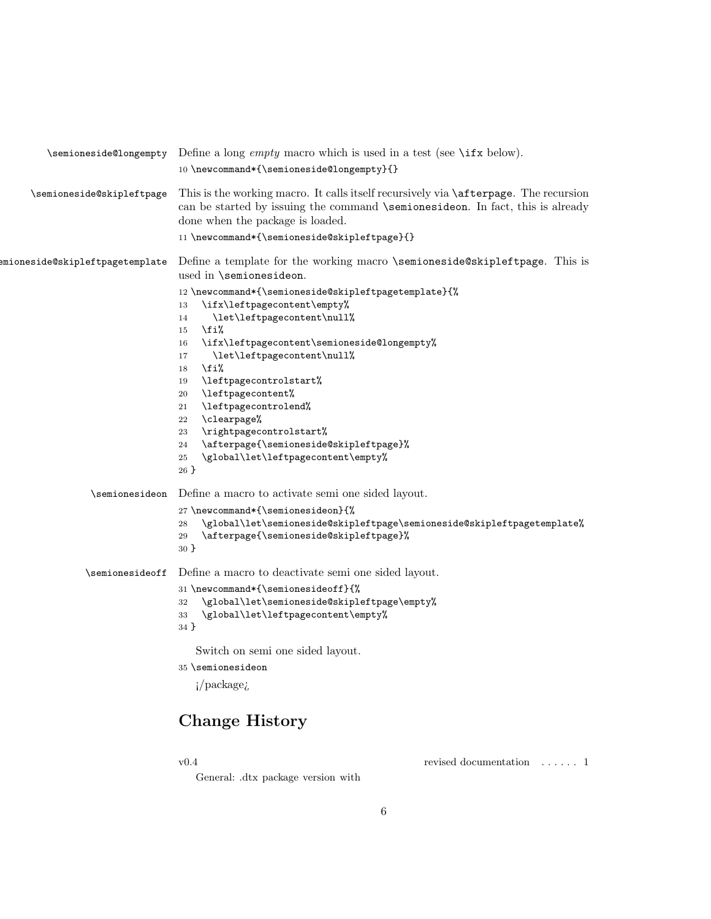|                                 | $\setminus$ semioneside@longempty Define a long <i>empty</i> macro which is used in a test (see $\setminus$ ifx below).<br>10 \newcommand*{\semioneside@longempty}{}                                                                                                                                                                                                                                                                                                                                          |  |
|---------------------------------|---------------------------------------------------------------------------------------------------------------------------------------------------------------------------------------------------------------------------------------------------------------------------------------------------------------------------------------------------------------------------------------------------------------------------------------------------------------------------------------------------------------|--|
| \semioneside@skipleftpage       | This is the working macro. It calls itself recursively via <b>\afterpage</b> . The recursion<br>can be started by issuing the command <i>semionesideon</i> . In fact, this is already<br>done when the package is loaded.<br>11\newcommand*{\semioneside@skipleftpage}{}                                                                                                                                                                                                                                      |  |
| emioneside@skipleftpagetemplate | Define a template for the working macro \semioneside@skipleftpage. This is<br>used in \semionesideon.                                                                                                                                                                                                                                                                                                                                                                                                         |  |
|                                 | 12\newcommand*{\semioneside@skipleftpagetemplate}{%<br>\ifx\leftpagecontent\empty%<br>13<br>\let\leftpagecontent\null%<br>14<br>\fi%<br>15<br>\ifx\leftpagecontent\semioneside@longempty%<br>16<br>\let\leftpagecontent\null%<br>17<br>\fi%<br>18<br>\leftpagecontrolstart%<br>19<br>\leftpagecontent%<br>20<br>\leftpagecontrolend%<br>21<br>\clearpage%<br>22<br>\rightpagecontrolstart%<br>23<br>\afterpage{\semioneside@skipleftpage}%<br>24<br>\global\let\leftpagecontent\empty%<br>$\bf 25$<br>$26 \}$ |  |
| \semionesideon                  | Define a macro to activate semi one sided layout.                                                                                                                                                                                                                                                                                                                                                                                                                                                             |  |
|                                 | 27\newcommand*{\semionesideon}{%<br>\global\let\semioneside@skipleftpage\semioneside@skipleftpagetemplate%<br>28<br>\afterpage{\semioneside@skipleftpage}%<br>29<br>30 <sup>3</sup>                                                                                                                                                                                                                                                                                                                           |  |
| \semionesideoff                 | Define a macro to deactivate semi one sided layout.<br>31 \newcommand*{\semionesideoff}{%<br>\global\let\semioneside@skipleftpage\empty%<br>32<br>\global\let\leftpagecontent\empty%<br>33<br>$34$ }                                                                                                                                                                                                                                                                                                          |  |
|                                 | Switch on semi one sided layout.                                                                                                                                                                                                                                                                                                                                                                                                                                                                              |  |
|                                 | 35 \semionesideon                                                                                                                                                                                                                                                                                                                                                                                                                                                                                             |  |
|                                 | $i$ /package <sub><math>i</math></sub>                                                                                                                                                                                                                                                                                                                                                                                                                                                                        |  |

# Change History

v0.4

revised documentation . . . . . . 1

General: .dtx package version with